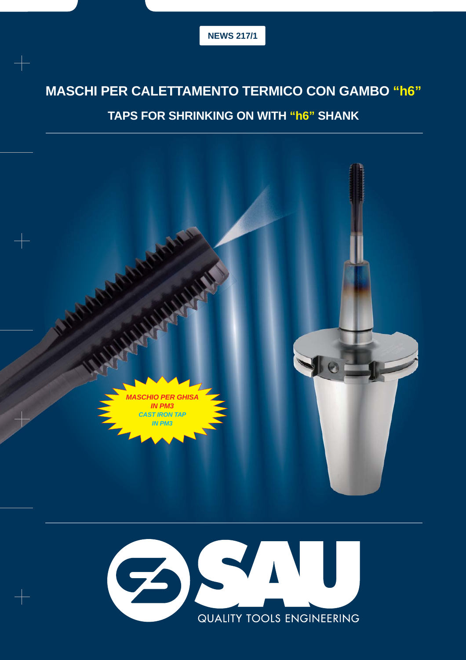# **MASCHI PER CALETTAMENTO TERMICO CON GAMBO "h6"**

## **TAPS FOR SHRINKING ON WITH "h6" SHANK**

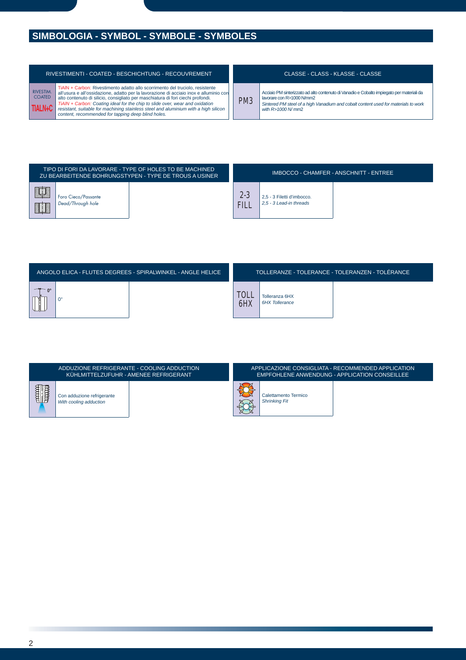# **SIMBOLOGIA - SYMBOL - SYMBOLE - SYMBOLES**

| RIVESTIMENTI - COATED - BESCHICHTUNG - RECOUVREMENT |                                                                                                                                                                                                                                                                                                                                                                                                                                                                                         |  |  |  |  |  |  |  |
|-----------------------------------------------------|-----------------------------------------------------------------------------------------------------------------------------------------------------------------------------------------------------------------------------------------------------------------------------------------------------------------------------------------------------------------------------------------------------------------------------------------------------------------------------------------|--|--|--|--|--|--|--|
| <b>RIVESTIM.</b><br><b>COATED</b><br>TIALN+C        | TiAIN + Carbon: Rivestimento adatto allo scorrimento del truciolo, resistente<br>all'usura e all'ossidazione, adatto per la lavorazione di acciaio inox e alluminio con<br>alto contenuto di silicio, consigliato per maschiatura di fori ciechi profondi.<br>TiAIN + Carbon: Coating ideal for the chip to slide over, wear and oxidation<br>resistant, suitable for machining stainless steel and aluminium with a high silicon<br>content, recommended for tapping deep blind holes. |  |  |  |  |  |  |  |

### CLASSE - CLASS - KLASSE - CLASSE

PM3 Acciaio PM sinterizzato ad alto contenuto di Vanadio e Cobalto impiegato per materiali da lavorare con R>1000 N/mm2 *Sintered PM steel of a high Vanadium and cobalt content used for materials to work with R>1000 N/* mm2

|          |                                          | TIPO DI FORI DA LAVORARE - TYPE OF HOLES TO BE MACHINED<br>ZU BEARBEITENDE BOHRUNGSTYPEN - TYPE DE TROUS A USINER |                        |                                                       | IMBOCCO - CHAMFER - ANSCHNITT - ENTREE |
|----------|------------------------------------------|-------------------------------------------------------------------------------------------------------------------|------------------------|-------------------------------------------------------|----------------------------------------|
| 红人<br>21 | Foro Cieco/Passante<br>Dead/Through hole |                                                                                                                   | $2 - 3$<br><b>FILL</b> | 2.5 - 3 Filetti d'imbocco.<br>2.5 - 3 Lead-in threads |                                        |

|           | ANGOLO ELICA - FLUTES DEGREES - SPIRALWINKEL - ANGLE HELICE |                    |                                         | TOLLERANZE - TOLERANCE - TOLERANZEN - TOLÉRANCE |
|-----------|-------------------------------------------------------------|--------------------|-----------------------------------------|-------------------------------------------------|
| $\bigcap$ |                                                             | <b>TOLL</b><br>6HX | Tolleranza 6HX<br><b>6HX Tollerance</b> |                                                 |

|                                                      | ADDUZIONE REFRIGERANTE - COOLING ADDUCTION<br>KUHLMITTELZUFUHR - AMENEE REFRIGERANT' | APPLICAZIONE CONSIGLIATA - RECOMMENDED APPLICATION<br>EMPFOHLENE ANWENDUNG - APPLICATION CONSEILLEE |                                              |  |  |  |  |  |
|------------------------------------------------------|--------------------------------------------------------------------------------------|-----------------------------------------------------------------------------------------------------|----------------------------------------------|--|--|--|--|--|
| Con adduzione refrigerante<br>With cooling adduction |                                                                                      |                                                                                                     | Calettamento Termico<br><b>Shrinking Fit</b> |  |  |  |  |  |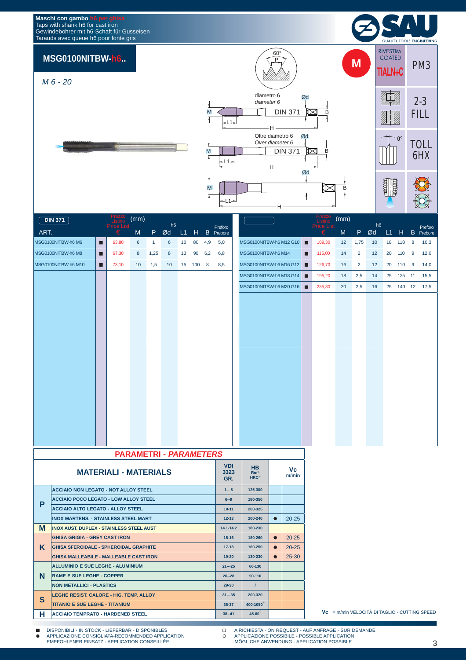#### **Maschi con gambo h6 per ghisa** Taps with shank h6 for cast iron Gewindebohrer mit h6-Schaft für Gusseisen Tarauds avec queue h6 pour fonte gris



## *M 6 - 20*



| <b>DIN 371</b>      |   | Prezzo<br>Listino      | (mm)      |              | h6 |                 |        |     |                             |                         |   | Prezzo<br>Listino<br>Price List | (mm) |                | h6 |    |          |   |                      |
|---------------------|---|------------------------|-----------|--------------|----|-----------------|--------|-----|-----------------------------|-------------------------|---|---------------------------------|------|----------------|----|----|----------|---|----------------------|
| ART.                |   | <b>Price List</b><br>€ | ${\sf M}$ | P.           | Ød | L1              | H      |     | Preforo<br><b>B</b> Prebore |                         |   | €                               | M    | P              | Ød | L1 | H        |   | Preforo<br>B Prebore |
| MSG0100NITBW-h6 M6  | о | 63,80                  | 6         | $\mathbf{1}$ | 6  | 10 <sup>°</sup> | 80     | 4,9 | 5,0                         | MSG0100NITBW-h6 M12 G10 | п | 109,30                          | 12   | 1,75           | 10 |    | 18 110   | 8 | 10,3                 |
| MSG0100NITBW-h6 M8  | п | 67,30                  | 8         | 1,25         | 8  | 13              | 90     | 6,2 | 6,8                         | MSG0100NITBW-h6 M14     | п | 115,00                          | 14   | $\overline{2}$ | 12 | 20 | 110      | 9 | 12,0                 |
| MSG0100NITBW-h6 M10 | п | 73,10                  | 10        | 1,5          | 10 |                 | 15 100 | 8   | 8,5                         | MSG0100NITBW-h6 M16 G12 | п | 126,70                          | 16   | $\overline{2}$ | 12 |    | 20 110 9 |   | 14,0                 |
|                     |   |                        |           |              |    |                 |        |     |                             | MSG0100NITBW-h6 M18 G14 | п | 195,20                          | 18   | 2,5            | 14 |    |          |   | 25 125 11 15,5       |
|                     |   |                        |           |              |    |                 |        |     |                             | MSG0100NITBW-h6 M20 G16 | п | 235,80                          | 20   | 2,5            | 16 |    |          |   | 25 140 12 17,5       |
|                     |   |                        |           |              |    |                 |        |     |                             |                         |   |                                 |      |                |    |    |          |   |                      |
|                     |   |                        |           |              |    |                 |        |     |                             |                         |   |                                 |      |                |    |    |          |   |                      |
|                     |   |                        |           |              |    |                 |        |     |                             |                         |   |                                 |      |                |    |    |          |   |                      |
|                     |   |                        |           |              |    |                 |        |     |                             |                         |   |                                 |      |                |    |    |          |   |                      |
|                     |   |                        |           |              |    |                 |        |     |                             |                         |   |                                 |      |                |    |    |          |   |                      |
|                     |   |                        |           |              |    |                 |        |     |                             |                         |   |                                 |      |                |    |    |          |   |                      |
|                     |   |                        |           |              |    |                 |        |     |                             |                         |   |                                 |      |                |    |    |          |   |                      |
|                     |   |                        |           |              |    |                 |        |     |                             |                         |   |                                 |      |                |    |    |          |   |                      |
|                     |   |                        |           |              |    |                 |        |     |                             |                         |   |                                 |      |                |    |    |          |   |                      |
|                     |   |                        |           |              |    |                 |        |     |                             |                         |   |                                 |      |                |    |    |          |   |                      |
|                     |   |                        |           |              |    |                 |        |     |                             |                         |   |                                 |      |                |    |    |          |   |                      |
|                     |   |                        |           |              |    |                 |        |     |                             |                         |   |                                 |      |                |    |    |          |   |                      |
|                     |   |                        |           |              |    |                 |        |     |                             |                         |   |                                 |      |                |    |    |          |   |                      |
|                     |   |                        |           |              |    |                 |        |     |                             |                         |   |                                 |      |                |    |    |          |   |                      |

| <b>PARAMETRI - PARAMETERS</b> |                                                 |                           |                                                  |           |             |  |  |  |  |
|-------------------------------|-------------------------------------------------|---------------------------|--------------------------------------------------|-----------|-------------|--|--|--|--|
|                               | <b>MATERIALI - MATERIALS</b>                    | <b>VDI</b><br>3323<br>GR. | <b>HB</b><br>Rm <sup>1</sup><br>HRC <sup>2</sup> |           | Vc<br>m/min |  |  |  |  |
|                               | <b>ACCIAIO NON LEGATO - NOT ALLOY STEEL</b>     | $1 - 5$                   | 125-300                                          |           |             |  |  |  |  |
| P                             | <b>ACCIAIO POCO LEGATO - LOW ALLOY STEEL</b>    | $6 - 9$                   | 180-350                                          |           |             |  |  |  |  |
|                               | <b>ACCIAIO ALTO LEGATO - ALLOY STEEL</b>        | $10 - 11$                 | 200-325                                          |           |             |  |  |  |  |
|                               | <b>INOX MARTENS. - STAINLESS STEEL MART</b>     | $12 - 13$                 | 200-240                                          | $\bullet$ | $20 - 25$   |  |  |  |  |
| M                             | <b>INOX AUST. DUPLEX - STAINLESS STEEL AUST</b> | $14.1 - 14.2$             | 180-230                                          |           |             |  |  |  |  |
|                               | <b>GHISA GRIGIA - GREY CAST IRON</b>            | $15 - 16$                 | 180-260                                          | $\bullet$ | $20 - 25$   |  |  |  |  |
| Κ                             | <b>GHISA SFEROIDALE - SPHEROIDAL GRAPHITE</b>   | $17 - 18$                 | 160-250                                          | $\bullet$ | $20 - 25$   |  |  |  |  |
|                               | <b>GHISA MALLEABILE - MALLEABLE CAST IRON</b>   | $19 - 20$                 | 130-230                                          | $\bullet$ | $25 - 30$   |  |  |  |  |
|                               | ALLUMINIO E SUE LEGHE - ALUMINIUM               | $21 - 25$                 | 60-130                                           |           |             |  |  |  |  |
| N                             | <b>RAME E SUE LEGHE - COPPER</b>                | $26 - 28$                 | $90 - 110$                                       |           |             |  |  |  |  |
|                               | <b>NON METALLICI - PLASTICS</b>                 | 29-30                     | $\prime$                                         |           |             |  |  |  |  |
|                               | <b>LEGHE RESIST, CALORE - HIG. TEMP, ALLOY</b>  | $31 - 35$                 | 200-320                                          |           |             |  |  |  |  |
| S                             | <b>TITANIO E SUE LEGHE - TITANIUM</b>           | 36-37                     | $400 - 1050$                                     |           |             |  |  |  |  |
| н                             | <b>ACCIAIO TEMPRATO - HARDENED STEEL</b>        | $38 - 41$                 | $45 - 60^{2}$                                    |           |             |  |  |  |  |

**Vc** = m/min VELOCITÀ DI TAGLIO - CUTTING SPEED

■ DISPONIBILI - IN STOCK - LIEFERBAR - DISPONIBLES A RICHIESTA - ON REQUEST - AUF ANFRAGE - SUR DEMANDE<br>APPLICAZIONE CONSIGLIATA-RECOMMENDED APPLICATION O APPLICAZIONE POSSIBILE - POSSIBLE APPLICATI APPLICAZIONE CONSIGLIATA-RECOMMENDED APPLICATION EMPFOHLENER EINSATZ - APPLICATION CONSEILLÉE